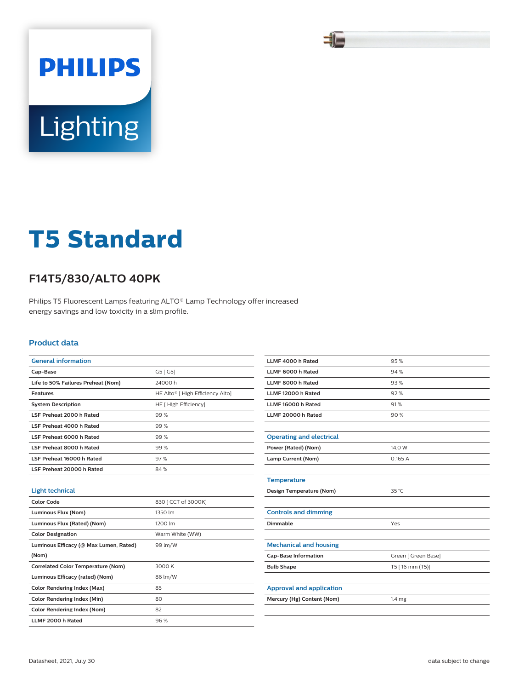

# **PHILIPS** Lighting

## **T5 Standard**

### **F14T5/830/ALTO 40PK**

Philips T5 Fluorescent Lamps featuring ALTO® Lamp Technology offer increased energy savings and low toxicity in a slim profile.

#### **Product data**

| <b>General information</b>                |                                              |
|-------------------------------------------|----------------------------------------------|
| Cap-Base                                  | G5 [ G5]                                     |
| Life to 50% Failures Preheat (Nom)        | 24000h                                       |
| <b>Features</b>                           | HE Alto <sup>®</sup> [ High Efficiency Alto] |
| <b>System Description</b>                 | HE [ High Efficiency]                        |
| LSF Preheat 2000 h Rated                  | 99%                                          |
| LSF Preheat 4000 h Rated                  | 99%                                          |
| LSF Preheat 6000 h Rated                  | 99%                                          |
| LSF Preheat 8000 h Rated                  | 99%                                          |
| LSF Preheat 16000 h Rated                 | 97%                                          |
| LSF Preheat 20000 h Rated                 | 84%                                          |
|                                           |                                              |
| <b>Light technical</b>                    |                                              |
| Color Code                                | 830 [ CCT of 3000K]                          |
| Luminous Flux (Nom)                       | 1350 lm                                      |
| Luminous Flux (Rated) (Nom)               | 1200 lm                                      |
| <b>Color Designation</b>                  | Warm White (WW)                              |
| Luminous Efficacy (@ Max Lumen, Rated)    | 99 lm/W                                      |
| (Nom)                                     |                                              |
| <b>Correlated Color Temperature (Nom)</b> | 3000 K                                       |
| Luminous Efficacy (rated) (Nom)           | 86 lm/W                                      |
| <b>Color Rendering Index (Max)</b>        | 85                                           |
| <b>Color Rendering Index (Min)</b>        | 80                                           |
| <b>Color Rendering Index (Nom)</b>        | 82                                           |
| LLMF 2000 h Rated                         | 96%                                          |

| LLMF 4000 h Rated               | 95%                 |  |  |
|---------------------------------|---------------------|--|--|
| LLMF 6000 h Rated               | 94%                 |  |  |
| LLMF 8000 h Rated               | 93%                 |  |  |
| LLMF 12000 h Rated              | 92%                 |  |  |
| LLMF 16000 h Rated              | 91%                 |  |  |
| LLMF 20000 h Rated              | 90%                 |  |  |
|                                 |                     |  |  |
| <b>Operating and electrical</b> |                     |  |  |
| Power (Rated) (Nom)             | 14.0 W              |  |  |
| Lamp Current (Nom)              | 0.165A              |  |  |
|                                 |                     |  |  |
| <b>Temperature</b>              |                     |  |  |
| Design Temperature (Nom)        | 35 °C               |  |  |
|                                 |                     |  |  |
| <b>Controls and dimming</b>     |                     |  |  |
| Dimmable                        | Yes                 |  |  |
|                                 |                     |  |  |
| <b>Mechanical and housing</b>   |                     |  |  |
| <b>Cap-Base Information</b>     | Green [ Green Base] |  |  |
| <b>Bulb Shape</b>               | T5 [16 mm (T5)]     |  |  |
|                                 |                     |  |  |
| <b>Approval and application</b> |                     |  |  |
| Mercury (Hg) Content (Nom)      | 1.4 <sub>mg</sub>   |  |  |
|                                 |                     |  |  |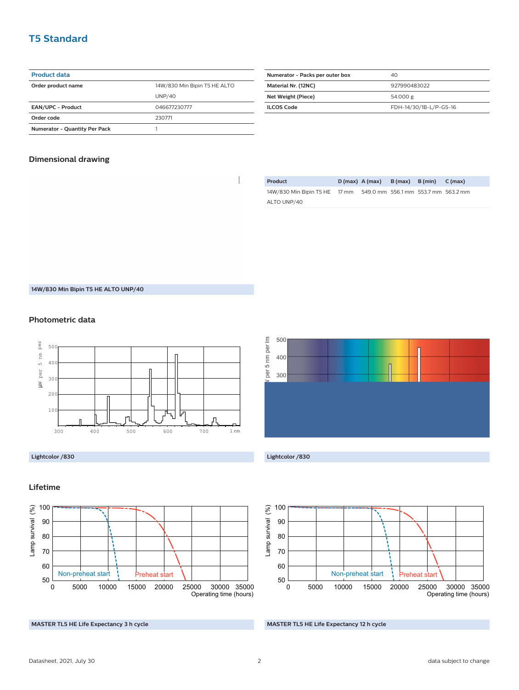#### **T5 Standard**

#### **Product data**

| Order product name                   | 14W/830 Min Bipin T5 HE ALTO |  |  |
|--------------------------------------|------------------------------|--|--|
|                                      | <b>UNP/40</b>                |  |  |
| <b>EAN/UPC - Product</b>             | 046677230777                 |  |  |
| Order code                           | 230771                       |  |  |
| <b>Numerator - Quantity Per Pack</b> |                              |  |  |

| Numerator - Packs per outer box | 40                     |
|---------------------------------|------------------------|
| Material Nr. (12NC)             | 927990483022           |
| Net Weight (Piece)              | 54.000 g               |
| <b>ILCOS Code</b>               | FDH-14/30/1B-L/P-G5-16 |

#### **Dimensional drawing**

 $\begin{array}{c} \hline \end{array}$ 

| Product                       | $D(max)$ A (max)                    | B (max) B (min) | C (max) |
|-------------------------------|-------------------------------------|-----------------|---------|
| 14W/830 Min Bipin T5 HE 17 mm | 549.0 mm 556.1 mm 553.7 mm 563.2 mm |                 |         |
| ALTO UNP/40                   |                                     |                 |         |

**14W/830 Min Bipin T5 HE ALTO UNP/40**

#### **Photometric data**









#### **MASTER TL5 HE Life Expectancy 12 h cycle**

#### **Lifetime**



**MASTER TL5 HE Life Expectancy 3 h cycle**